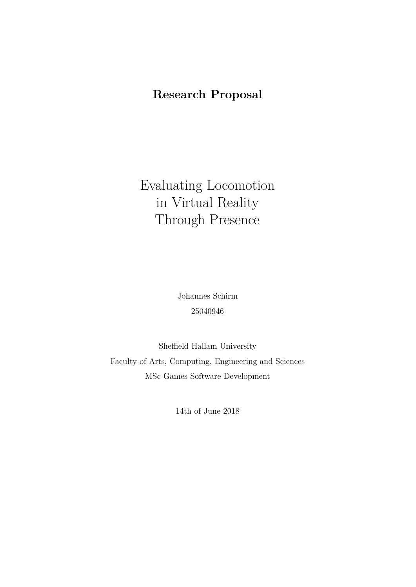# **Research Proposal**

Evaluating Locomotion in Virtual Reality Through Presence

> Johannes Schirm 25040946

Sheffield Hallam University Faculty of Arts, Computing, Engineering and Sciences MSc Games Software Development

14th of June 2018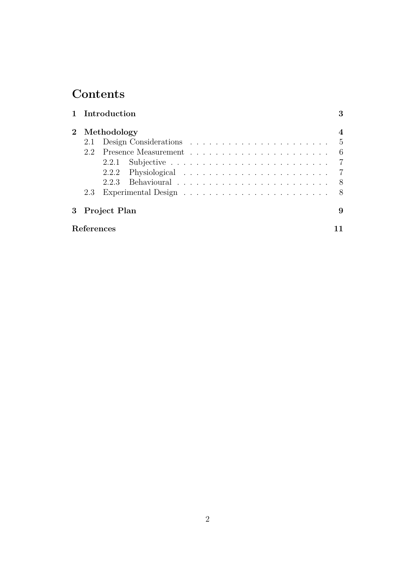# **Contents**

|            | 1 Introduction |                                                                                  |  |  |  |  |  |  |  |  |  |  | 3 |
|------------|----------------|----------------------------------------------------------------------------------|--|--|--|--|--|--|--|--|--|--|---|
|            | 2 Methodology  |                                                                                  |  |  |  |  |  |  |  |  |  |  | 4 |
|            |                |                                                                                  |  |  |  |  |  |  |  |  |  |  |   |
| 22         |                | Presence Measurement $\ldots \ldots \ldots \ldots \ldots \ldots \ldots \ldots 6$ |  |  |  |  |  |  |  |  |  |  |   |
|            |                |                                                                                  |  |  |  |  |  |  |  |  |  |  |   |
|            |                |                                                                                  |  |  |  |  |  |  |  |  |  |  |   |
|            |                |                                                                                  |  |  |  |  |  |  |  |  |  |  |   |
| 2.3        |                |                                                                                  |  |  |  |  |  |  |  |  |  |  |   |
|            | 3 Project Plan |                                                                                  |  |  |  |  |  |  |  |  |  |  | 9 |
| References |                |                                                                                  |  |  |  |  |  |  |  |  |  |  |   |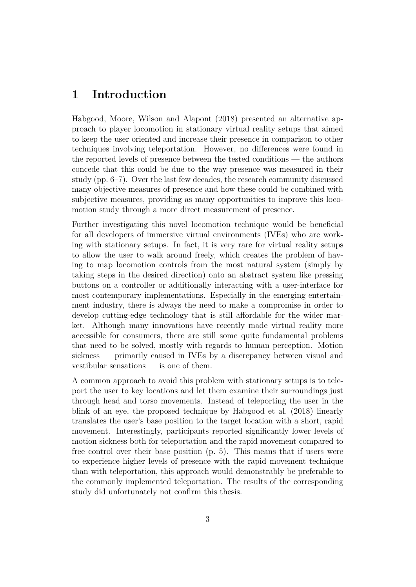# <span id="page-2-0"></span>**1 Introduction**

[Habgood, Moore, Wilson and Alapont](#page-10-1) [\(2018\)](#page-10-1) presented an alternative approach to player locomotion in stationary virtual reality setups that aimed to keep the user oriented and increase their presence in comparison to other techniques involving teleportation. However, no differences were found in the reported levels of presence between the tested conditions — the authors concede that this could be due to the way presence was measured in their study (pp. 6–7). Over the last few decades, the research community discussed many objective measures of presence and how these could be combined with subjective measures, providing as many opportunities to improve this locomotion study through a more direct measurement of presence.

Further investigating this novel locomotion technique would be beneficial for all developers of immersive virtual environments (IVEs) who are working with stationary setups. In fact, it is very rare for virtual reality setups to allow the user to walk around freely, which creates the problem of having to map locomotion controls from the most natural system (simply by taking steps in the desired direction) onto an abstract system like pressing buttons on a controller or additionally interacting with a user-interface for most contemporary implementations. Especially in the emerging entertainment industry, there is always the need to make a compromise in order to develop cutting-edge technology that is still affordable for the wider market. Although many innovations have recently made virtual reality more accessible for consumers, there are still some quite fundamental problems that need to be solved, mostly with regards to human perception. Motion sickness — primarily caused in IVEs by a discrepancy between visual and vestibular sensations — is one of them.

A common approach to avoid this problem with stationary setups is to teleport the user to key locations and let them examine their surroundings just through head and torso movements. Instead of teleporting the user in the blink of an eye, the proposed technique by [Habgood et al.](#page-10-1) [\(2018\)](#page-10-1) linearly translates the user's base position to the target location with a short, rapid movement. Interestingly, participants reported significantly lower levels of motion sickness both for teleportation and the rapid movement compared to free control over their base position (p. 5). This means that if users were to experience higher levels of presence with the rapid movement technique than with teleportation, this approach would demonstrably be preferable to the commonly implemented teleportation. The results of the corresponding study did unfortunately not confirm this thesis.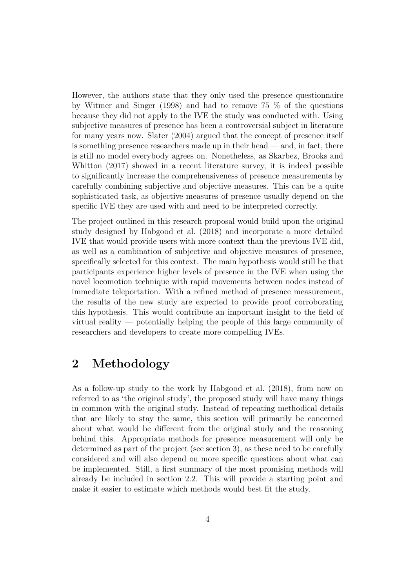However, the authors state that they only used the presence questionnaire by [Witmer and Singer](#page-10-2) [\(1998\)](#page-10-2) and had to remove 75 % of the questions because they did not apply to the IVE the study was conducted with. Using subjective measures of presence has been a controversial subject in literature for many years now. [Slater](#page-10-3) [\(2004\)](#page-10-3) argued that the concept of presence itself is something presence researchers made up in their head  $-$  and, in fact, there is still no model everybody agrees on. Nonetheless, as [Skarbez, Brooks and](#page-10-4) [Whitton](#page-10-4) [\(2017\)](#page-10-4) showed in a recent literature survey, it is indeed possible to significantly increase the comprehensiveness of presence measurements by carefully combining subjective and objective measures. This can be a quite sophisticated task, as objective measures of presence usually depend on the specific IVE they are used with and need to be interpreted correctly.

The project outlined in this research proposal would build upon the original study designed by [Habgood et al.](#page-10-1) [\(2018\)](#page-10-1) and incorporate a more detailed IVE that would provide users with more context than the previous IVE did, as well as a combination of subjective and objective measures of presence, specifically selected for this context. The main hypothesis would still be that participants experience higher levels of presence in the IVE when using the novel locomotion technique with rapid movements between nodes instead of immediate teleportation. With a refined method of presence measurement, the results of the new study are expected to provide proof corroborating this hypothesis. This would contribute an important insight to the field of virtual reality — potentially helping the people of this large community of researchers and developers to create more compelling IVEs.

# <span id="page-3-0"></span>**2 Methodology**

As a follow-up study to the work by [Habgood et al.](#page-10-1) [\(2018\)](#page-10-1), from now on referred to as 'the original study', the proposed study will have many things in common with the original study. Instead of repeating methodical details that are likely to stay the same, this section will primarily be concerned about what would be different from the original study and the reasoning behind this. Appropriate methods for presence measurement will only be determined as part of the project (see [section 3\)](#page-8-0), as these need to be carefully considered and will also depend on more specific questions about what can be implemented. Still, a first summary of the most promising methods will already be included in [section 2.2.](#page-5-0) This will provide a starting point and make it easier to estimate which methods would best fit the study.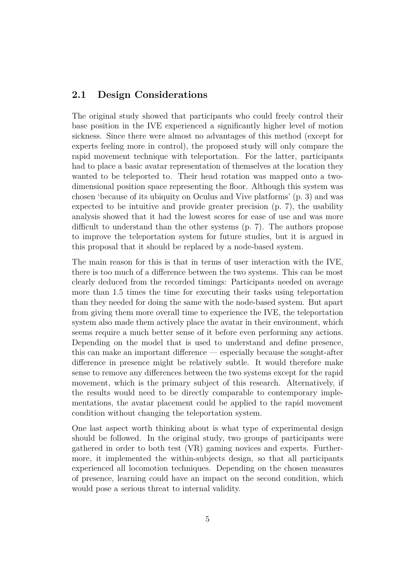### <span id="page-4-0"></span>**2.1 Design Considerations**

The original study showed that participants who could freely control their base position in the IVE experienced a significantly higher level of motion sickness. Since there were almost no advantages of this method (except for experts feeling more in control), the proposed study will only compare the rapid movement technique with teleportation. For the latter, participants had to place a basic avatar representation of themselves at the location they wanted to be teleported to. Their head rotation was mapped onto a twodimensional position space representing the floor. Although this system was chosen 'because of its ubiquity on Oculus and Vive platforms' (p. 3) and was expected to be intuitive and provide greater precision (p. 7), the usability analysis showed that it had the lowest scores for ease of use and was more difficult to understand than the other systems (p. 7). The authors propose to improve the teleportation system for future studies, but it is argued in this proposal that it should be replaced by a node-based system.

The main reason for this is that in terms of user interaction with the IVE, there is too much of a difference between the two systems. This can be most clearly deduced from the recorded timings: Participants needed on average more than 1.5 times the time for executing their tasks using teleportation than they needed for doing the same with the node-based system. But apart from giving them more overall time to experience the IVE, the teleportation system also made them actively place the avatar in their environment, which seems require a much better sense of it before even performing any actions. Depending on the model that is used to understand and define presence, this can make an important difference — especially because the sought-after difference in presence might be relatively subtle. It would therefore make sense to remove any differences between the two systems except for the rapid movement, which is the primary subject of this research. Alternatively, if the results would need to be directly comparable to contemporary implementations, the avatar placement could be applied to the rapid movement condition without changing the teleportation system.

One last aspect worth thinking about is what type of experimental design should be followed. In the original study, two groups of participants were gathered in order to both test (VR) gaming novices and experts. Furthermore, it implemented the within-subjects design, so that all participants experienced all locomotion techniques. Depending on the chosen measures of presence, learning could have an impact on the second condition, which would pose a serious threat to internal validity.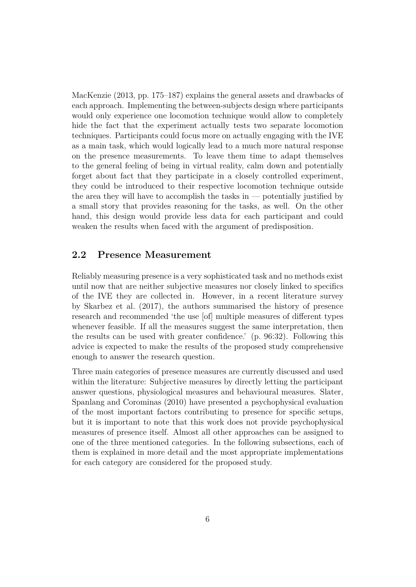[MacKenzie](#page-10-5) [\(2013,](#page-10-5) pp. 175–187) explains the general assets and drawbacks of each approach. Implementing the between-subjects design where participants would only experience one locomotion technique would allow to completely hide the fact that the experiment actually tests two separate locomotion techniques. Participants could focus more on actually engaging with the IVE as a main task, which would logically lead to a much more natural response on the presence measurements. To leave them time to adapt themselves to the general feeling of being in virtual reality, calm down and potentially forget about fact that they participate in a closely controlled experiment, they could be introduced to their respective locomotion technique outside the area they will have to accomplish the tasks in  $-$  potentially justified by a small story that provides reasoning for the tasks, as well. On the other hand, this design would provide less data for each participant and could weaken the results when faced with the argument of predisposition.

### <span id="page-5-0"></span>**2.2 Presence Measurement**

Reliably measuring presence is a very sophisticated task and no methods exist until now that are neither subjective measures nor closely linked to specifics of the IVE they are collected in. However, in a recent literature survey by [Skarbez et al.](#page-10-4) [\(2017\)](#page-10-4), the authors summarised the history of presence research and recommended 'the use [of] multiple measures of different types whenever feasible. If all the measures suggest the same interpretation, then the results can be used with greater confidence.' (p. 96:32). Following this advice is expected to make the results of the proposed study comprehensive enough to answer the research question.

Three main categories of presence measures are currently discussed and used within the literature: Subjective measures by directly letting the participant answer questions, physiological measures and behavioural measures. [Slater,](#page-10-6) [Spanlang and Corominas](#page-10-6) [\(2010\)](#page-10-6) have presented a psychophysical evaluation of the most important factors contributing to presence for specific setups, but it is important to note that this work does not provide psychophysical measures of presence itself. Almost all other approaches can be assigned to one of the three mentioned categories. In the following subsections, each of them is explained in more detail and the most appropriate implementations for each category are considered for the proposed study.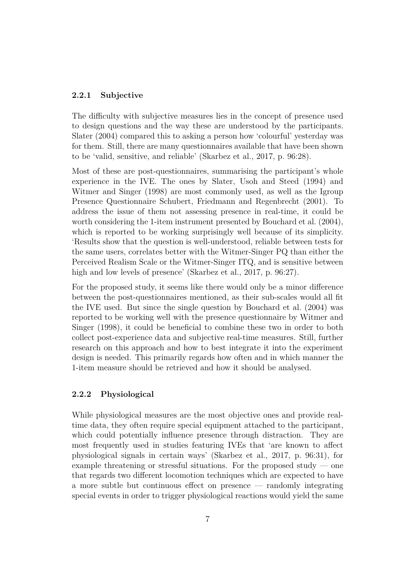#### <span id="page-6-0"></span>**2.2.1 Subjective**

The difficulty with subjective measures lies in the concept of presence used to design questions and the way these are understood by the participants. [Slater](#page-10-3) [\(2004\)](#page-10-3) compared this to asking a person how 'colourful' yesterday was for them. Still, there are many questionnaires available that have been shown to be 'valid, sensitive, and reliable' [\(Skarbez et al., 2017,](#page-10-4) p. 96:28).

Most of these are post-questionnaires, summarising the participant's whole experience in the IVE. The ones by [Slater, Usoh and Steed](#page-10-7) [\(1994\)](#page-10-7) and [Witmer and Singer](#page-10-2) [\(1998\)](#page-10-2) are most commonly used, as well as the Igroup Presence Questionnaire [Schubert, Friedmann and Regenbrecht](#page-10-8) [\(2001\)](#page-10-8). To address the issue of them not assessing presence in real-time, it could be worth considering the 1-item instrument presented by [Bouchard et al.](#page-10-9) [\(2004\)](#page-10-9), which is reported to be working surprisingly well because of its simplicity. 'Results show that the question is well-understood, reliable between tests for the same users, correlates better with the Witmer-Singer PQ than either the Perceived Realism Scale or the Witmer-Singer ITQ, and is sensitive between high and low levels of presence' [\(Skarbez et al., 2017,](#page-10-4) p. 96:27).

For the proposed study, it seems like there would only be a minor difference between the post-questionnaires mentioned, as their sub-scales would all fit the IVE used. But since the single question by [Bouchard et al.](#page-10-9) [\(2004\)](#page-10-9) was reported to be working well with the presence questionnaire by [Witmer and](#page-10-2) [Singer](#page-10-2) [\(1998\)](#page-10-2), it could be beneficial to combine these two in order to both collect post-experience data and subjective real-time measures. Still, further research on this approach and how to best integrate it into the experiment design is needed. This primarily regards how often and in which manner the 1-item measure should be retrieved and how it should be analysed.

#### <span id="page-6-1"></span>**2.2.2 Physiological**

While physiological measures are the most objective ones and provide realtime data, they often require special equipment attached to the participant, which could potentially influence presence through distraction. They are most frequently used in studies featuring IVEs that 'are known to affect physiological signals in certain ways' [\(Skarbez et al., 2017,](#page-10-4) p. 96:31), for example threatening or stressful situations. For the proposed study — one that regards two different locomotion techniques which are expected to have a more subtle but continuous effect on presence — randomly integrating special events in order to trigger physiological reactions would yield the same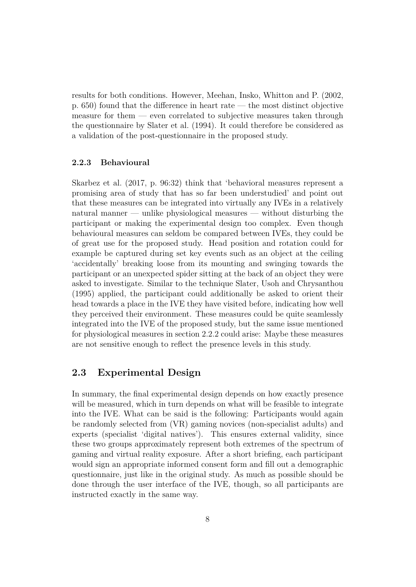results for both conditions. However, [Meehan, Insko, Whitton and P.](#page-10-10) [\(2002,](#page-10-10) p. 650) found that the difference in heart rate — the most distinct objective measure for them — even correlated to subjective measures taken through the questionnaire by [Slater et al.](#page-10-7) [\(1994\)](#page-10-7). It could therefore be considered as a validation of the post-questionnaire in the proposed study.

#### <span id="page-7-0"></span>**2.2.3 Behavioural**

[Skarbez et al.](#page-10-4) [\(2017,](#page-10-4) p. 96:32) think that 'behavioral measures represent a promising area of study that has so far been understudied' and point out that these measures can be integrated into virtually any IVEs in a relatively natural manner — unlike physiological measures — without disturbing the participant or making the experimental design too complex. Even though behavioural measures can seldom be compared between IVEs, they could be of great use for the proposed study. Head position and rotation could for example be captured during set key events such as an object at the ceiling 'accidentally' breaking loose from its mounting and swinging towards the participant or an unexpected spider sitting at the back of an object they were asked to investigate. Similar to the technique [Slater, Usoh and Chrysanthou](#page-10-11) [\(1995\)](#page-10-11) applied, the participant could additionally be asked to orient their head towards a place in the IVE they have visited before, indicating how well they perceived their environment. These measures could be quite seamlessly integrated into the IVE of the proposed study, but the same issue mentioned for physiological measures in [section 2.2.2](#page-6-1) could arise: Maybe these measures are not sensitive enough to reflect the presence levels in this study.

## <span id="page-7-1"></span>**2.3 Experimental Design**

In summary, the final experimental design depends on how exactly presence will be measured, which in turn depends on what will be feasible to integrate into the IVE. What can be said is the following: Participants would again be randomly selected from (VR) gaming novices (non-specialist adults) and experts (specialist 'digital natives'). This ensures external validity, since these two groups approximately represent both extremes of the spectrum of gaming and virtual reality exposure. After a short briefing, each participant would sign an appropriate informed consent form and fill out a demographic questionnaire, just like in the original study. As much as possible should be done through the user interface of the IVE, though, so all participants are instructed exactly in the same way.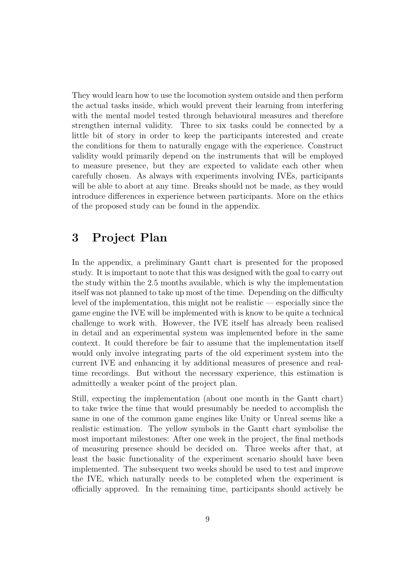They would learn how to use the locomotion system outside and then perform the actual tasks inside, which would prevent their learning from interfering with the mental model tested through behavioural measures and therefore strengthen internal validity. Three to six tasks could be connected by a little bit of story in order to keep the participants interested and create the conditions for them to naturally engage with the experience. Construct validity would primarily depend on the instruments that will be employed to measure presence, but they are expected to validate each other when carefully chosen. As always with experiments involving IVEs, participants will be able to abort at any time. Breaks should not be made, as they would introduce differences in experience between participants. More on the ethics of the proposed study can be found in [the appendix.](#page-12-0)

# <span id="page-8-0"></span>**3 Project Plan**

In [the appendix,](#page-11-0) a preliminary Gantt chart is presented for the proposed study. It is important to note that this was designed with the goal to carry out the study within the 2.5 months available, which is why the implementation itself was not planned to take up most of the time. Depending on the difficulty level of the implementation, this might not be realistic — especially since the game engine the IVE will be implemented with is know to be quite a technical challenge to work with. However, the IVE itself has already been realised in detail and an experimental system was implemented before in the same context. It could therefore be fair to assume that the implementation itself would only involve integrating parts of the old experiment system into the current IVE and enhancing it by additional measures of presence and realtime recordings. But without the necessary experience, this estimation is admittedly a weaker point of the project plan.

Still, expecting the implementation (about one month in the Gantt chart) to take twice the time that would presumably be needed to accomplish the same in one of the common game engines like Unity or Unreal seems like a realistic estimation. The yellow symbols in the Gantt chart symbolise the most important milestones: After one week in the project, the final methods of measuring presence should be decided on. Three weeks after that, at least the basic functionality of the experiment scenario should have been implemented. The subsequent two weeks should be used to test and improve the IVE, which naturally needs to be completed when the experiment is officially approved. In the remaining time, participants should actively be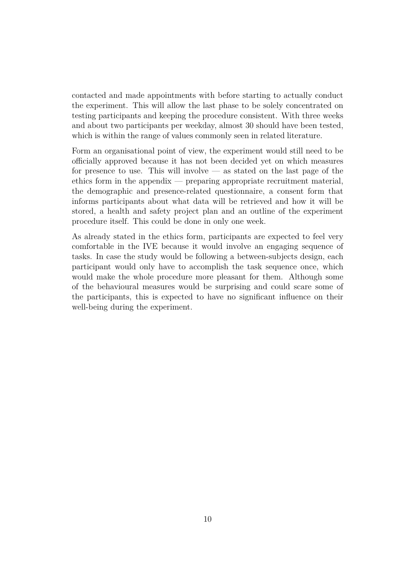contacted and made appointments with before starting to actually conduct the experiment. This will allow the last phase to be solely concentrated on testing participants and keeping the procedure consistent. With three weeks and about two participants per weekday, almost 30 should have been tested, which is within the range of values commonly seen in related literature.

Form an organisational point of view, the experiment would still need to be officially approved because it has not been decided yet on which measures for presence to use. This will involve  $-$  as stated on the last page of the ethics form in [the appendix](#page-12-0) — preparing appropriate recruitment material, the demographic and presence-related questionnaire, a consent form that informs participants about what data will be retrieved and how it will be stored, a health and safety project plan and an outline of the experiment procedure itself. This could be done in only one week.

As already stated in the ethics form, participants are expected to feel very comfortable in the IVE because it would involve an engaging sequence of tasks. In case the study would be following a between-subjects design, each participant would only have to accomplish the task sequence once, which would make the whole procedure more pleasant for them. Although some of the behavioural measures would be surprising and could scare some of the participants, this is expected to have no significant influence on their well-being during the experiment.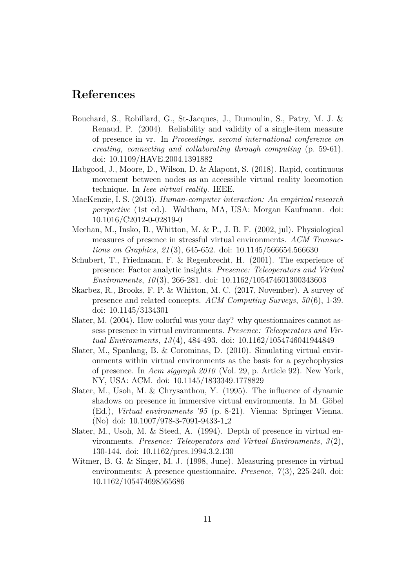# <span id="page-10-0"></span>**References**

- <span id="page-10-9"></span>Bouchard, S., Robillard, G., St-Jacques, J., Dumoulin, S., Patry, M. J. & Renaud, P. (2004). Reliability and validity of a single-item measure of presence in vr. In *Proceedings. second international conference on creating, connecting and collaborating through computing* (p. 59-61). doi: [10.1109/HAVE.2004.1391882](http://dx.doi.org/10.1109/HAVE.2004.1391882)
- <span id="page-10-1"></span>Habgood, J., Moore, D., Wilson, D. & Alapont, S. (2018). Rapid, continuous movement between nodes as an accessible virtual reality locomotion technique. In *Ieee virtual reality.* IEEE.
- <span id="page-10-5"></span>MacKenzie, I. S. (2013). *Human-computer interaction: An empirical research perspective* (1st ed.). Waltham, MA, USA: Morgan Kaufmann. doi: [10.1016/C2012-0-02819-0](http://dx.doi.org/10.1016/C2012-0-02819-0)
- <span id="page-10-10"></span>Meehan, M., Insko, B., Whitton, M. & P., J. B. F. (2002, jul). Physiological measures of presence in stressful virtual environments. *ACM Transactions on Graphics*, *21* (3), 645-652. doi: [10.1145/566654.566630](http://dx.doi.org/10.1145/566654.566630)
- <span id="page-10-8"></span>Schubert, T., Friedmann, F. & Regenbrecht, H. (2001). The experience of presence: Factor analytic insights. *Presence: Teleoperators and Virtual Environments*, *10* (3), 266-281. doi: [10.1162/105474601300343603](http://dx.doi.org/10.1162/105474601300343603)
- <span id="page-10-4"></span>Skarbez, R., Brooks, F. P. & Whitton, M. C. (2017, November). A survey of presence and related concepts. *ACM Computing Surveys*, *50* (6), 1-39. doi: [10.1145/3134301](http://dx.doi.org/10.1145/3134301)
- <span id="page-10-3"></span>Slater, M. (2004). How colorful was your day? why questionnaires cannot assess presence in virtual environments. *Presence: Teleoperators and Virtual Environments*, *13* (4), 484-493. doi: [10.1162/1054746041944849](http://dx.doi.org/10.1162/1054746041944849)
- <span id="page-10-6"></span>Slater, M., Spanlang, B. & Corominas, D. (2010). Simulating virtual environments within virtual environments as the basis for a psychophysics of presence. In *Acm siggraph 2010* (Vol. 29, p. Article 92). New York, NY, USA: ACM. doi: [10.1145/1833349.1778829](http://dx.doi.org/10.1145/1833349.1778829)
- <span id="page-10-11"></span>Slater, M., Usoh, M. & Chrysanthou, Y. (1995). The influence of dynamic shadows on presence in immersive virtual environments. In M. Göbel (Ed.), *Virtual environments '95* (p. 8-21). Vienna: Springer Vienna. (No) doi: [10.1007/978-3-7091-9433-1](http://dx.doi.org/10.1007/978-3-7091-9433-1_2) 2
- <span id="page-10-7"></span>Slater, M., Usoh, M. & Steed, A. (1994). Depth of presence in virtual environments. *Presence: Teleoperators and Virtual Environments*, *3* (2), 130-144. doi: [10.1162/pres.1994.3.2.130](http://dx.doi.org/10.1162/pres.1994.3.2.130)
- <span id="page-10-2"></span>Witmer, B. G. & Singer, M. J. (1998, June). Measuring presence in virtual environments: A presence questionnaire. *Presence*, *7* (3), 225-240. doi: [10.1162/105474698565686](http://dx.doi.org/10.1162/105474698565686)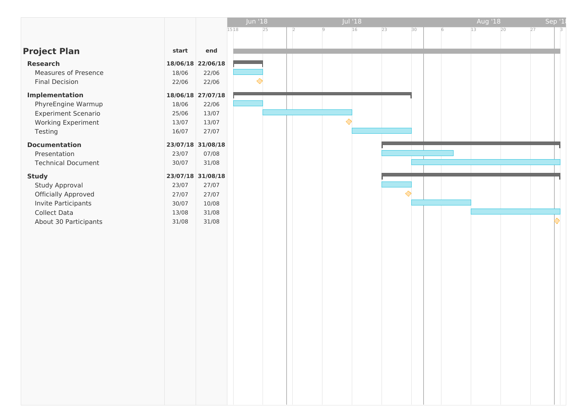<span id="page-11-0"></span>

|                            |       |                   | <b>Jun '18</b> |    |            | Jul'18 |                  |    |   | Aug '18 |    |    | Sep '1 |
|----------------------------|-------|-------------------|----------------|----|------------|--------|------------------|----|---|---------|----|----|--------|
|                            |       |                   | 1518           | 25 | 19         | 16     | 23               | 30 | 6 | 13      | 20 | 27 | 3      |
|                            |       |                   |                |    |            |        |                  |    |   |         |    |    |        |
| <b>Project Plan</b>        | start | end               |                |    |            |        |                  |    |   |         |    |    |        |
| <b>Research</b>            |       | 18/06/18 22/06/18 |                |    |            |        |                  |    |   |         |    |    |        |
| Measures of Presence       | 18/06 | 22/06             |                |    |            |        |                  |    |   |         |    |    |        |
| <b>Final Decision</b>      | 22/06 | 22/06             |                |    |            |        |                  |    |   |         |    |    |        |
| <b>Implementation</b>      |       | 18/06/18 27/07/18 |                |    |            |        |                  |    |   |         |    |    |        |
| PhyreEngine Warmup         | 18/06 | 22/06             |                |    |            |        |                  |    |   |         |    |    |        |
| <b>Experiment Scenario</b> | 25/06 | 13/07             |                |    |            |        |                  |    |   |         |    |    |        |
| Working Experiment         | 13/07 | 13/07             |                |    | $\Diamond$ |        |                  |    |   |         |    |    |        |
| Testing                    | 16/07 | 27/07             |                |    |            |        |                  |    |   |         |    |    |        |
| <b>Documentation</b>       |       | 23/07/18 31/08/18 |                |    |            |        |                  |    |   |         |    |    |        |
| Presentation               | 23/07 | 07/08             |                |    |            |        |                  |    |   |         |    |    |        |
| <b>Technical Document</b>  | 30/07 | 31/08             |                |    |            |        |                  |    |   |         |    |    |        |
| <b>Study</b>               |       | 23/07/18 31/08/18 |                |    |            |        |                  |    |   |         |    |    |        |
| Study Approval             | 23/07 | 27/07             |                |    |            |        |                  |    |   |         |    |    |        |
| <b>Officially Approved</b> | 27/07 | 27/07             |                |    |            |        | $\ddot{\bullet}$ |    |   |         |    |    |        |
| Invite Participants        | 30/07 | 10/08             |                |    |            |        |                  |    |   |         |    |    |        |
| <b>Collect Data</b>        | 13/08 | 31/08             |                |    |            |        |                  |    |   |         |    |    |        |
| About 30 Participants      | 31/08 | 31/08             |                |    |            |        |                  |    |   |         |    |    |        |
|                            |       |                   |                |    |            |        |                  |    |   |         |    |    |        |
|                            |       |                   |                |    |            |        |                  |    |   |         |    |    |        |
|                            |       |                   |                |    |            |        |                  |    |   |         |    |    |        |
|                            |       |                   |                |    |            |        |                  |    |   |         |    |    |        |
|                            |       |                   |                |    |            |        |                  |    |   |         |    |    |        |
|                            |       |                   |                |    |            |        |                  |    |   |         |    |    |        |
|                            |       |                   |                |    |            |        |                  |    |   |         |    |    |        |
|                            |       |                   |                |    |            |        |                  |    |   |         |    |    |        |
|                            |       |                   |                |    |            |        |                  |    |   |         |    |    |        |
|                            |       |                   |                |    |            |        |                  |    |   |         |    |    |        |
|                            |       |                   |                |    |            |        |                  |    |   |         |    |    |        |
|                            |       |                   |                |    |            |        |                  |    |   |         |    |    |        |
|                            |       |                   |                |    |            |        |                  |    |   |         |    |    |        |
|                            |       |                   |                |    |            |        |                  |    |   |         |    |    |        |
|                            |       |                   |                |    |            |        |                  |    |   |         |    |    |        |
|                            |       |                   |                |    |            |        |                  |    |   |         |    |    |        |
|                            |       |                   |                |    |            |        |                  |    |   |         |    |    |        |
|                            |       |                   |                |    |            |        |                  |    |   |         |    |    |        |
|                            |       |                   |                |    |            |        |                  |    |   |         |    |    |        |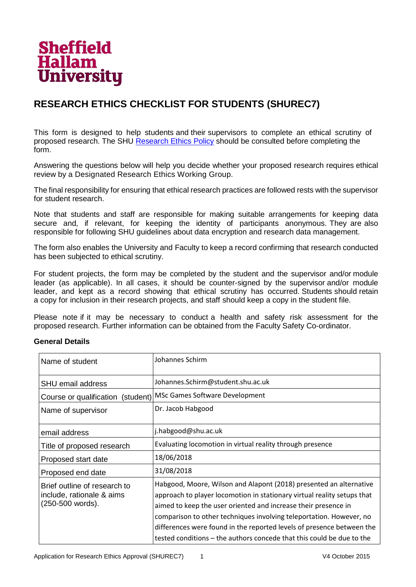

# <span id="page-12-0"></span>**RESEARCH ETHICS CHECKLIST FOR STUDENTS (SHUREC7)**

This form is designed to help students and their supervisors to complete an ethical scrutiny of proposed research. The SHU Research Ethics Policy should be consulted before completing the form.

Answering the questions below will help you decide whether your proposed research requires ethical review by a Designated Research Ethics Working Group.

The final responsibility for ensuring that ethical research practices are followed rests with the supervisor for student research.

Note that students and staff are responsible for making suitable arrangements for keeping data secure and, if relevant, for keeping the identity of participants anonymous. They are also responsible for following SHU guidelines about data encryption and research data management.

The form also enables the University and Faculty to keep a record confirming that research conducted has been subjected to ethical scrutiny.

For student projects, the form may be completed by the student and the supervisor and/or module leader (as applicable). In all cases, it should be counter-signed by the supervisor and/or module leader, and kept as a record showing that ethical scrutiny has occurred. Students should retain a copy for inclusion in their research projects, and staff should keep a copy in the student file.

Please note if it may be necessary to conduct a health and safety risk assessment for the proposed research. Further information can be obtained from the Faculty Safety Co-ordinator.

#### **General Details**

| Name of student                                                               | Johannes Schirm                                                                                                                                                                                                                                                                                                                                                                                                                          |  |  |  |  |  |
|-------------------------------------------------------------------------------|------------------------------------------------------------------------------------------------------------------------------------------------------------------------------------------------------------------------------------------------------------------------------------------------------------------------------------------------------------------------------------------------------------------------------------------|--|--|--|--|--|
| <b>SHU email address</b>                                                      | Johannes.Schirm@student.shu.ac.uk                                                                                                                                                                                                                                                                                                                                                                                                        |  |  |  |  |  |
| (student)<br>Course or qualification                                          | MSc Games Software Development                                                                                                                                                                                                                                                                                                                                                                                                           |  |  |  |  |  |
| Name of supervisor                                                            | Dr. Jacob Habgood                                                                                                                                                                                                                                                                                                                                                                                                                        |  |  |  |  |  |
| email address                                                                 | j.habgood@shu.ac.uk                                                                                                                                                                                                                                                                                                                                                                                                                      |  |  |  |  |  |
| Title of proposed research                                                    | Evaluating locomotion in virtual reality through presence                                                                                                                                                                                                                                                                                                                                                                                |  |  |  |  |  |
| Proposed start date                                                           | 18/06/2018                                                                                                                                                                                                                                                                                                                                                                                                                               |  |  |  |  |  |
| Proposed end date                                                             | 31/08/2018                                                                                                                                                                                                                                                                                                                                                                                                                               |  |  |  |  |  |
| Brief outline of research to<br>include, rationale & aims<br>(250-500 words). | Habgood, Moore, Wilson and Alapont (2018) presented an alternative<br>approach to player locomotion in stationary virtual reality setups that<br>aimed to keep the user oriented and increase their presence in<br>comparison to other techniques involving teleportation. However, no<br>differences were found in the reported levels of presence between the<br>tested conditions – the authors concede that this could be due to the |  |  |  |  |  |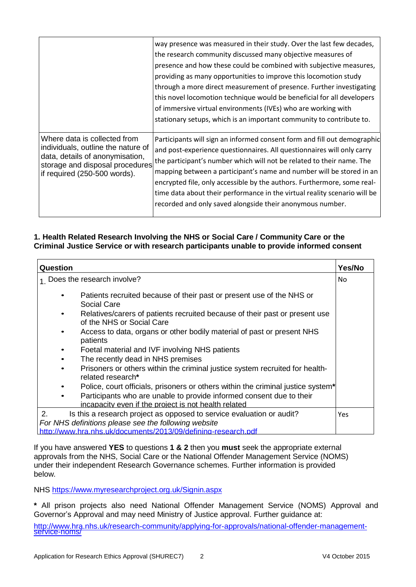|                                                                                                                                                                          | way presence was measured in their study. Over the last few decades,<br>the research community discussed many objective measures of<br>presence and how these could be combined with subjective measures,<br>providing as many opportunities to improve this locomotion study<br>through a more direct measurement of presence. Further investigating<br>this novel locomotion technique would be beneficial for all developers<br>of immersive virtual environments (IVEs) who are working with<br>stationary setups, which is an important community to contribute to. |
|--------------------------------------------------------------------------------------------------------------------------------------------------------------------------|--------------------------------------------------------------------------------------------------------------------------------------------------------------------------------------------------------------------------------------------------------------------------------------------------------------------------------------------------------------------------------------------------------------------------------------------------------------------------------------------------------------------------------------------------------------------------|
| Where data is collected from<br>individuals, outline the nature of<br>data, details of anonymisation,<br>storage and disposal procedures<br>if required (250-500 words). | Participants will sign an informed consent form and fill out demographic<br>and post-experience questionnaires. All questionnaires will only carry<br>the participant's number which will not be related to their name. The<br>mapping between a participant's name and number will be stored in an<br>encrypted file, only accessible by the authors. Furthermore, some real-<br>time data about their performance in the virtual reality scenario will be<br>recorded and only saved alongside their anonymous number.                                                 |

### **1. Health Related Research Involving the NHS or Social Care / Community Care or the Criminal Justice Service or with research participants unable to provide informed consent**

| Question                                                                                                                                                                                                                                                                                                                                                                                                                                                                                  | Yes/No |  |  |  |  |  |
|-------------------------------------------------------------------------------------------------------------------------------------------------------------------------------------------------------------------------------------------------------------------------------------------------------------------------------------------------------------------------------------------------------------------------------------------------------------------------------------------|--------|--|--|--|--|--|
| 1 Does the research involve?                                                                                                                                                                                                                                                                                                                                                                                                                                                              | No.    |  |  |  |  |  |
| Patients recruited because of their past or present use of the NHS or<br>Social Care<br>Relatives/carers of patients recruited because of their past or present use<br>of the NHS or Social Care<br>Access to data, organs or other bodily material of past or present NHS<br>٠<br>patients<br>Foetal material and IVF involving NHS patients<br>٠<br>The recently dead in NHS premises<br>٠<br>Prisoners or others within the criminal justice system recruited for health-<br>$\bullet$ |        |  |  |  |  |  |
| related research*<br>Police, court officials, prisoners or others within the criminal justice system*<br>Participants who are unable to provide informed consent due to their<br>incapacity even if the project is not health related                                                                                                                                                                                                                                                     |        |  |  |  |  |  |
| 2.<br>Is this a research project as opposed to service evaluation or audit?<br>For NHS definitions please see the following website<br>http://www.hra.nhs.uk/documents/2013/09/defining-research.pdf                                                                                                                                                                                                                                                                                      |        |  |  |  |  |  |

If you have answered **YES** to questions **1 & 2** then you **must** seek the appropriate external approvals from the NHS, Social Care or the National Offender Management Service (NOMS) under their independent Research Governance schemes. Further information is provided below.

NHS https://www.myresearchproject.org.uk/Signin.aspx

**\*** All prison projects also need National Offender Management Service (NOMS) Approval and Governor's Approval and may need Ministry of Justice approval. Further guidance at:

http://www.hra.nhs.uk/research-community/applying-for-approvals/national-offender-managementservice-noms/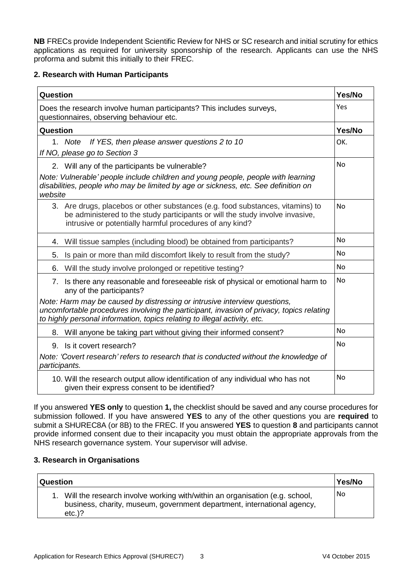**NB** FRECs provide Independent Scientific Review for NHS or SC research and initial scrutiny for ethics applications as required for university sponsorship of the research. Applicants can use the NHS proforma and submit this initially to their FREC.

### **2. Research with Human Participants**

| Question                                                                                                                                                                                                                                           | Yes/No         |
|----------------------------------------------------------------------------------------------------------------------------------------------------------------------------------------------------------------------------------------------------|----------------|
| Does the research involve human participants? This includes surveys,<br>questionnaires, observing behaviour etc.                                                                                                                                   | Yes            |
| Question                                                                                                                                                                                                                                           | Yes/No         |
| If YES, then please answer questions 2 to 10<br>1. Note<br>If NO, please go to Section 3                                                                                                                                                           | OK.            |
| 2. Will any of the participants be vulnerable?                                                                                                                                                                                                     | <b>No</b>      |
| Note: Vulnerable' people include children and young people, people with learning<br>disabilities, people who may be limited by age or sickness, etc. See definition on<br>website                                                                  |                |
| 3. Are drugs, placebos or other substances (e.g. food substances, vitamins) to<br>be administered to the study participants or will the study involve invasive,<br>intrusive or potentially harmful procedures of any kind?                        | <b>No</b>      |
| Will tissue samples (including blood) be obtained from participants?<br>4.                                                                                                                                                                         | <b>No</b>      |
| Is pain or more than mild discomfort likely to result from the study?<br>5.                                                                                                                                                                        | <b>No</b>      |
| Will the study involve prolonged or repetitive testing?<br>6.                                                                                                                                                                                      | <b>No</b>      |
| 7. Is there any reasonable and foreseeable risk of physical or emotional harm to<br>any of the participants?                                                                                                                                       | <b>No</b>      |
| Note: Harm may be caused by distressing or intrusive interview questions,<br>uncomfortable procedures involving the participant, invasion of privacy, topics relating<br>to highly personal information, topics relating to illegal activity, etc. |                |
| 8. Will anyone be taking part without giving their informed consent?                                                                                                                                                                               | No             |
| 9. Is it covert research?                                                                                                                                                                                                                          | N <sub>0</sub> |
| Note: 'Covert research' refers to research that is conducted without the knowledge of<br>participants.                                                                                                                                             |                |
| 10. Will the research output allow identification of any individual who has not<br>given their express consent to be identified?                                                                                                                   | No             |

If you answered **YES only** to question **1,** the checklist should be saved and any course procedures for submission followed. If you have answered **YES** to any of the other questions you are **required** to submit a SHUREC8A (or 8B) to the FREC. If you answered **YES** to question **8** and participants cannot provide informed consent due to their incapacity you must obtain the appropriate approvals from the NHS research governance system. Your supervisor will advise.

#### **3. Research in Organisations**

| <b>Question</b>                                                                                                                                                        | Yes/No         |
|------------------------------------------------------------------------------------------------------------------------------------------------------------------------|----------------|
| 1. Will the research involve working with/within an organisation (e.g. school,<br>business, charity, museum, government department, international agency,<br>$etc.$ )? | N <sub>0</sub> |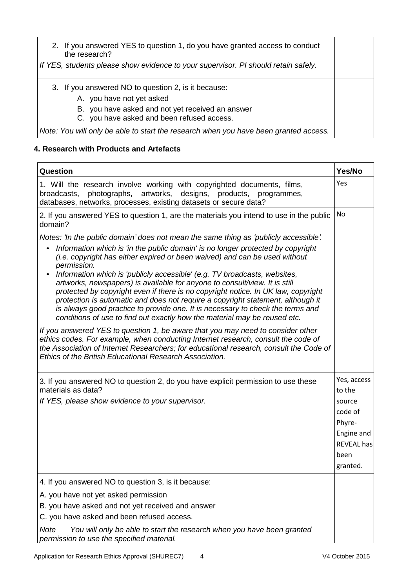| 2. If you answered YES to question 1, do you have granted access to conduct<br>the research?   |  |
|------------------------------------------------------------------------------------------------|--|
| If YES, students please show evidence to your supervisor. PI should retain safely.             |  |
| 3. If you answered NO to question 2, is it because:<br>A. you have not yet asked               |  |
| B. you have asked and not yet received an answer<br>C. you have asked and been refused access. |  |
| Note: You will only be able to start the research when you have been granted access.           |  |

## **4. Research with Products and Artefacts**

| Question                                                                                                                                                                                                                                                                                                                                                                                                                                                                                                                                                                                                                                                                                                                                                               | Yes/No                |
|------------------------------------------------------------------------------------------------------------------------------------------------------------------------------------------------------------------------------------------------------------------------------------------------------------------------------------------------------------------------------------------------------------------------------------------------------------------------------------------------------------------------------------------------------------------------------------------------------------------------------------------------------------------------------------------------------------------------------------------------------------------------|-----------------------|
| 1. Will the research involve working with copyrighted documents, films,<br>broadcasts, photographs, artworks, designs, products, programmes,<br>databases, networks, processes, existing datasets or secure data?                                                                                                                                                                                                                                                                                                                                                                                                                                                                                                                                                      | Yes                   |
| 2. If you answered YES to question 1, are the materials you intend to use in the public<br>domain?                                                                                                                                                                                                                                                                                                                                                                                                                                                                                                                                                                                                                                                                     | No                    |
| Notes: 'In the public domain' does not mean the same thing as 'publicly accessible'.<br>Information which is 'in the public domain' is no longer protected by copyright<br>(i.e. copyright has either expired or been waived) and can be used without<br>permission.<br>Information which is 'publicly accessible' (e.g. TV broadcasts, websites,<br>artworks, newspapers) is available for anyone to consult/view. It is still<br>protected by copyright even if there is no copyright notice. In UK law, copyright<br>protection is automatic and does not require a copyright statement, although it<br>is always good practice to provide one. It is necessary to check the terms and<br>conditions of use to find out exactly how the material may be reused etc. |                       |
| If you answered YES to question 1, be aware that you may need to consider other<br>ethics codes. For example, when conducting Internet research, consult the code of<br>the Association of Internet Researchers; for educational research, consult the Code of<br>Ethics of the British Educational Research Association.                                                                                                                                                                                                                                                                                                                                                                                                                                              |                       |
| 3. If you answered NO to question 2, do you have explicit permission to use these<br>materials as data?                                                                                                                                                                                                                                                                                                                                                                                                                                                                                                                                                                                                                                                                | Yes, access<br>to the |
| If YES, please show evidence to your supervisor.                                                                                                                                                                                                                                                                                                                                                                                                                                                                                                                                                                                                                                                                                                                       | source                |
|                                                                                                                                                                                                                                                                                                                                                                                                                                                                                                                                                                                                                                                                                                                                                                        | code of               |
|                                                                                                                                                                                                                                                                                                                                                                                                                                                                                                                                                                                                                                                                                                                                                                        | Phyre-                |
|                                                                                                                                                                                                                                                                                                                                                                                                                                                                                                                                                                                                                                                                                                                                                                        | Engine and            |
|                                                                                                                                                                                                                                                                                                                                                                                                                                                                                                                                                                                                                                                                                                                                                                        | <b>REVEAL has</b>     |
|                                                                                                                                                                                                                                                                                                                                                                                                                                                                                                                                                                                                                                                                                                                                                                        | been                  |
|                                                                                                                                                                                                                                                                                                                                                                                                                                                                                                                                                                                                                                                                                                                                                                        | granted.              |
| 4. If you answered NO to question 3, is it because:                                                                                                                                                                                                                                                                                                                                                                                                                                                                                                                                                                                                                                                                                                                    |                       |
| A. you have not yet asked permission                                                                                                                                                                                                                                                                                                                                                                                                                                                                                                                                                                                                                                                                                                                                   |                       |
| B. you have asked and not yet received and answer                                                                                                                                                                                                                                                                                                                                                                                                                                                                                                                                                                                                                                                                                                                      |                       |
| C. you have asked and been refused access.                                                                                                                                                                                                                                                                                                                                                                                                                                                                                                                                                                                                                                                                                                                             |                       |
| <b>Note</b><br>You will only be able to start the research when you have been granted<br>permission to use the specified material.                                                                                                                                                                                                                                                                                                                                                                                                                                                                                                                                                                                                                                     |                       |